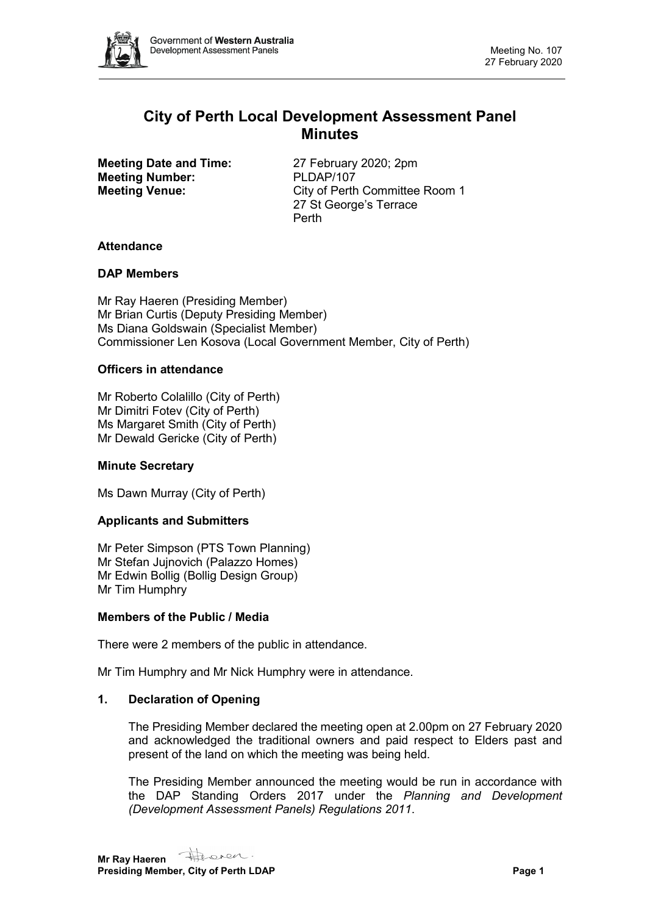

# **City of Perth Local Development Assessment Panel Minutes**

**Meeting Date and Time:** 27 February 2020; 2pm **Meeting Number:** PLDAP/107<br> **Meeting Venue:** City of Perth

**City of Perth Committee Room 1** 27 St George's Terrace Perth

#### **Attendance**

#### **DAP Members**

Mr Ray Haeren (Presiding Member) Mr Brian Curtis (Deputy Presiding Member) Ms Diana Goldswain (Specialist Member) Commissioner Len Kosova (Local Government Member, City of Perth)

#### **Officers in attendance**

Mr Roberto Colalillo (City of Perth) Mr Dimitri Fotev (City of Perth) Ms Margaret Smith (City of Perth) Mr Dewald Gericke (City of Perth)

## **Minute Secretary**

Ms Dawn Murray (City of Perth)

## **Applicants and Submitters**

Mr Peter Simpson (PTS Town Planning) Mr Stefan Jujnovich (Palazzo Homes) Mr Edwin Bollig (Bollig Design Group) Mr Tim Humphry

#### **Members of the Public / Media**

There were 2 members of the public in attendance.

Mr Tim Humphry and Mr Nick Humphry were in attendance.

## **1. Declaration of Opening**

The Presiding Member declared the meeting open at 2.00pm on 27 February 2020 and acknowledged the traditional owners and paid respect to Elders past and present of the land on which the meeting was being held.

The Presiding Member announced the meeting would be run in accordance with the DAP Standing Orders 2017 under the *Planning and Development (Development Assessment Panels) Regulations 2011*.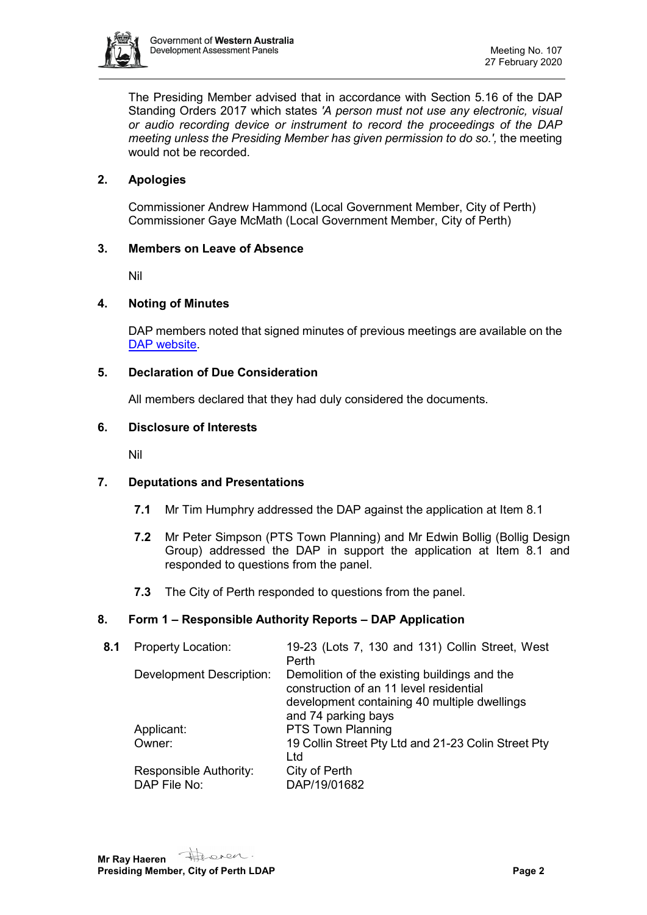

The Presiding Member advised that in accordance with Section 5.16 of the DAP Standing Orders 2017 which states *'A person must not use any electronic, visual or audio recording device or instrument to record the proceedings of the DAP meeting unless the Presiding Member has given permission to do so.',* the meeting would not be recorded.

# **2. Apologies**

Commissioner Andrew Hammond (Local Government Member, City of Perth) Commissioner Gaye McMath (Local Government Member, City of Perth)

## **3. Members on Leave of Absence**

Nil

# **4. Noting of Minutes**

DAP members noted that signed minutes of previous meetings are available on the [DAP website.](https://www.dplh.wa.gov.au/about/development-assessment-panels/daps-agendas-and-minutes)

#### **5. Declaration of Due Consideration**

All members declared that they had duly considered the documents.

#### **6. Disclosure of Interests**

Nil

## **7. Deputations and Presentations**

- **7.1** Mr Tim Humphry addressed the DAP against the application at Item 8.1
- **7.2** Mr Peter Simpson (PTS Town Planning) and Mr Edwin Bollig (Bollig Design Group) addressed the DAP in support the application at Item 8.1 and responded to questions from the panel.
- **7.3** The City of Perth responded to questions from the panel.

## **8. Form 1 – Responsible Authority Reports – DAP Application**

| 8.1 | <b>Property Location:</b>              | 19-23 (Lots 7, 130 and 131) Collin Street, West<br>Perth                                                                                                       |
|-----|----------------------------------------|----------------------------------------------------------------------------------------------------------------------------------------------------------------|
|     | <b>Development Description:</b>        | Demolition of the existing buildings and the<br>construction of an 11 level residential<br>development containing 40 multiple dwellings<br>and 74 parking bays |
|     | Applicant:                             | <b>PTS Town Planning</b>                                                                                                                                       |
|     | Owner:                                 | 19 Collin Street Pty Ltd and 21-23 Colin Street Pty<br>Ltd                                                                                                     |
|     | Responsible Authority:<br>DAP File No: | City of Perth<br>DAP/19/01682                                                                                                                                  |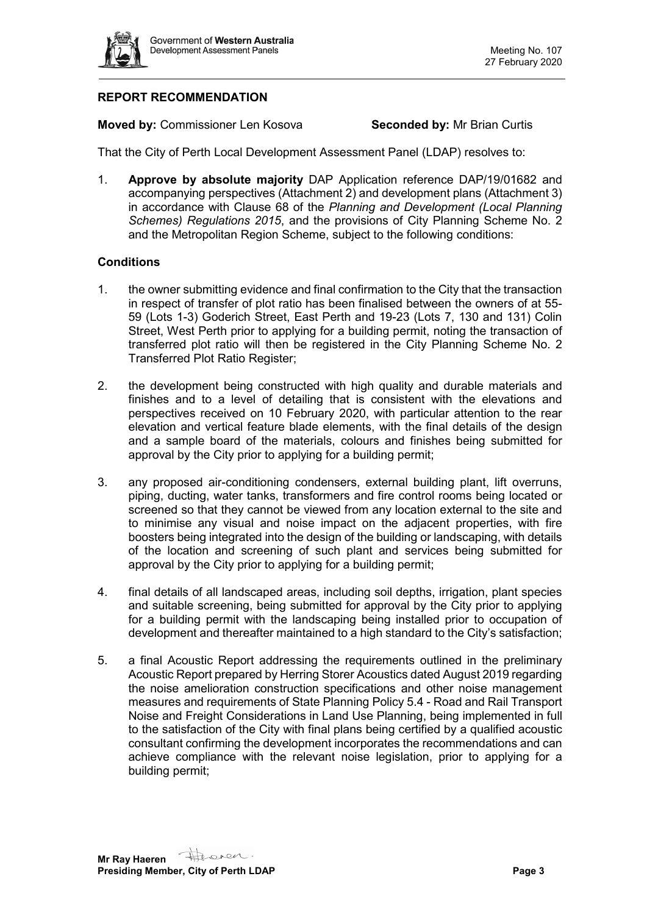

# **REPORT RECOMMENDATION**

**Moved by:** Commissioner Len Kosova **Seconded by:** Mr Brian Curtis

That the City of Perth Local Development Assessment Panel (LDAP) resolves to:

1. **Approve by absolute majority** DAP Application reference DAP/19/01682 and accompanying perspectives (Attachment 2) and development plans (Attachment 3) in accordance with Clause 68 of the *Planning and Development (Local Planning Schemes) Regulations 2015*, and the provisions of City Planning Scheme No. 2 and the Metropolitan Region Scheme, subject to the following conditions:

#### **Conditions**

- 1. the owner submitting evidence and final confirmation to the City that the transaction in respect of transfer of plot ratio has been finalised between the owners of at 55- 59 (Lots 1-3) Goderich Street, East Perth and 19-23 (Lots 7, 130 and 131) Colin Street, West Perth prior to applying for a building permit, noting the transaction of transferred plot ratio will then be registered in the City Planning Scheme No. 2 Transferred Plot Ratio Register;
- 2. the development being constructed with high quality and durable materials and finishes and to a level of detailing that is consistent with the elevations and perspectives received on 10 February 2020, with particular attention to the rear elevation and vertical feature blade elements, with the final details of the design and a sample board of the materials, colours and finishes being submitted for approval by the City prior to applying for a building permit;
- 3. any proposed air-conditioning condensers, external building plant, lift overruns, piping, ducting, water tanks, transformers and fire control rooms being located or screened so that they cannot be viewed from any location external to the site and to minimise any visual and noise impact on the adjacent properties, with fire boosters being integrated into the design of the building or landscaping, with details of the location and screening of such plant and services being submitted for approval by the City prior to applying for a building permit;
- 4. final details of all landscaped areas, including soil depths, irrigation, plant species and suitable screening, being submitted for approval by the City prior to applying for a building permit with the landscaping being installed prior to occupation of development and thereafter maintained to a high standard to the City's satisfaction;
- 5. a final Acoustic Report addressing the requirements outlined in the preliminary Acoustic Report prepared by Herring Storer Acoustics dated August 2019 regarding the noise amelioration construction specifications and other noise management measures and requirements of State Planning Policy 5.4 - Road and Rail Transport Noise and Freight Considerations in Land Use Planning, being implemented in full to the satisfaction of the City with final plans being certified by a qualified acoustic consultant confirming the development incorporates the recommendations and can achieve compliance with the relevant noise legislation, prior to applying for a building permit;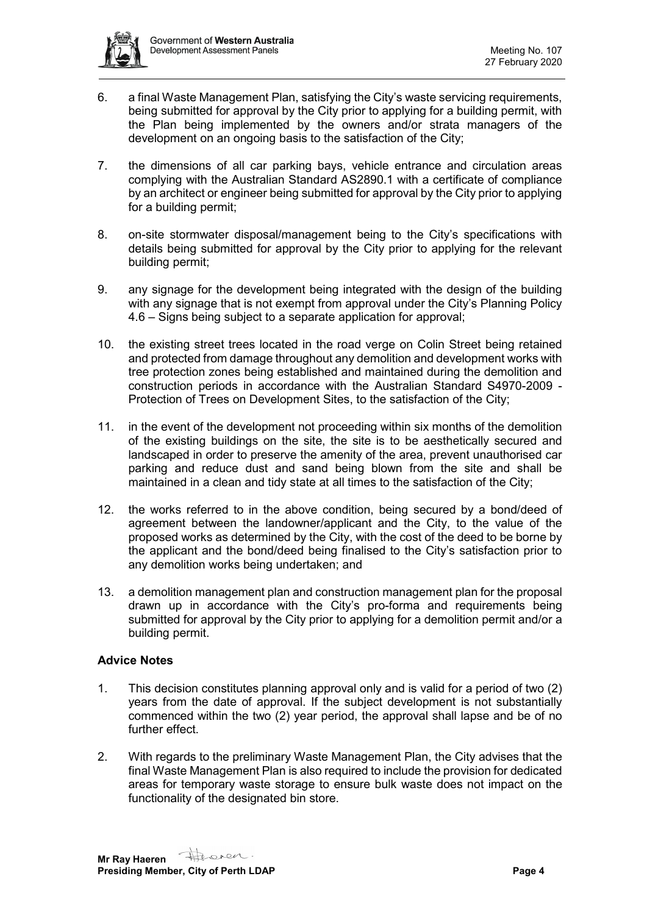

- 6. a final Waste Management Plan, satisfying the City's waste servicing requirements, being submitted for approval by the City prior to applying for a building permit, with the Plan being implemented by the owners and/or strata managers of the development on an ongoing basis to the satisfaction of the City;
- 7. the dimensions of all car parking bays, vehicle entrance and circulation areas complying with the Australian Standard AS2890.1 with a certificate of compliance by an architect or engineer being submitted for approval by the City prior to applying for a building permit;
- 8. on-site stormwater disposal/management being to the City's specifications with details being submitted for approval by the City prior to applying for the relevant building permit;
- 9. any signage for the development being integrated with the design of the building with any signage that is not exempt from approval under the City's Planning Policy 4.6 – Signs being subject to a separate application for approval;
- 10. the existing street trees located in the road verge on Colin Street being retained and protected from damage throughout any demolition and development works with tree protection zones being established and maintained during the demolition and construction periods in accordance with the Australian Standard S4970-2009 - Protection of Trees on Development Sites, to the satisfaction of the City;
- 11. in the event of the development not proceeding within six months of the demolition of the existing buildings on the site, the site is to be aesthetically secured and landscaped in order to preserve the amenity of the area, prevent unauthorised car parking and reduce dust and sand being blown from the site and shall be maintained in a clean and tidy state at all times to the satisfaction of the City;
- 12. the works referred to in the above condition, being secured by a bond/deed of agreement between the landowner/applicant and the City, to the value of the proposed works as determined by the City, with the cost of the deed to be borne by the applicant and the bond/deed being finalised to the City's satisfaction prior to any demolition works being undertaken; and
- 13. a demolition management plan and construction management plan for the proposal drawn up in accordance with the City's pro-forma and requirements being submitted for approval by the City prior to applying for a demolition permit and/or a building permit.

## **Advice Notes**

- 1. This decision constitutes planning approval only and is valid for a period of two (2) years from the date of approval. If the subject development is not substantially commenced within the two (2) year period, the approval shall lapse and be of no further effect.
- 2. With regards to the preliminary Waste Management Plan, the City advises that the final Waste Management Plan is also required to include the provision for dedicated areas for temporary waste storage to ensure bulk waste does not impact on the functionality of the designated bin store.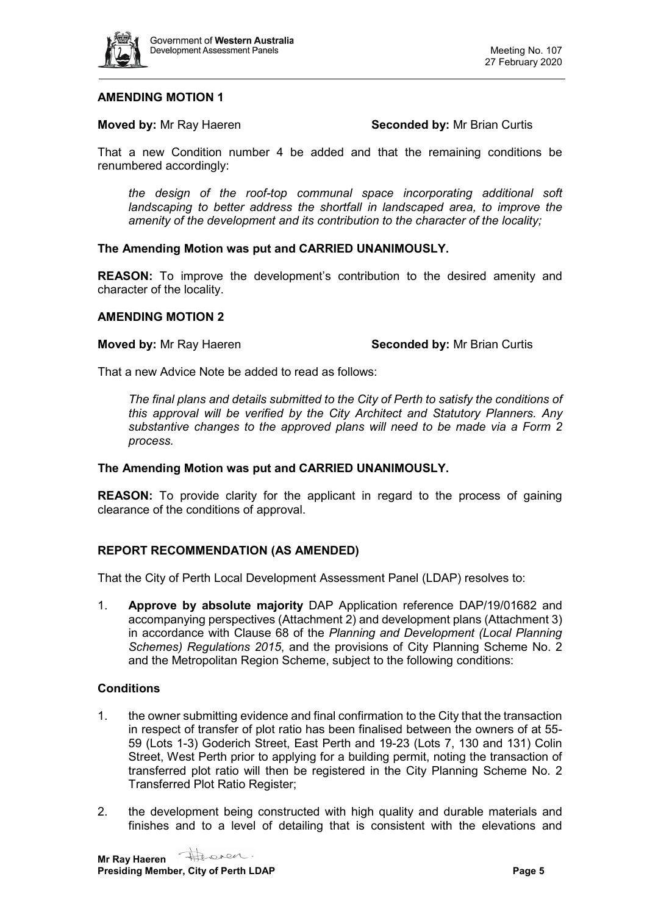

#### **AMENDING MOTION 1**

#### **Moved by:** Mr Ray Haeren **Seconded by:** Mr Brian Curtis

That a new Condition number 4 be added and that the remaining conditions be renumbered accordingly:

*the design of the roof-top communal space incorporating additional soft landscaping to better address the shortfall in landscaped area, to improve the amenity of the development and its contribution to the character of the locality;*

#### **The Amending Motion was put and CARRIED UNANIMOUSLY.**

**REASON:** To improve the development's contribution to the desired amenity and character of the locality.

#### **AMENDING MOTION 2**

#### **Moved by:** Mr Ray Haeren **Seconded by:** Mr Brian Curtis

That a new Advice Note be added to read as follows:

*The final plans and details submitted to the City of Perth to satisfy the conditions of this approval will be verified by the City Architect and Statutory Planners. Any substantive changes to the approved plans will need to be made via a Form 2 process.*

#### **The Amending Motion was put and CARRIED UNANIMOUSLY.**

**REASON:** To provide clarity for the applicant in regard to the process of gaining clearance of the conditions of approval.

## **REPORT RECOMMENDATION (AS AMENDED)**

That the City of Perth Local Development Assessment Panel (LDAP) resolves to:

1. **Approve by absolute majority** DAP Application reference DAP/19/01682 and accompanying perspectives (Attachment 2) and development plans (Attachment 3) in accordance with Clause 68 of the *Planning and Development (Local Planning Schemes) Regulations 2015*, and the provisions of City Planning Scheme No. 2 and the Metropolitan Region Scheme, subject to the following conditions:

# **Conditions**

- 1. the owner submitting evidence and final confirmation to the City that the transaction in respect of transfer of plot ratio has been finalised between the owners of at 55- 59 (Lots 1-3) Goderich Street, East Perth and 19-23 (Lots 7, 130 and 131) Colin Street, West Perth prior to applying for a building permit, noting the transaction of transferred plot ratio will then be registered in the City Planning Scheme No. 2 Transferred Plot Ratio Register;
- 2. the development being constructed with high quality and durable materials and finishes and to a level of detailing that is consistent with the elevations and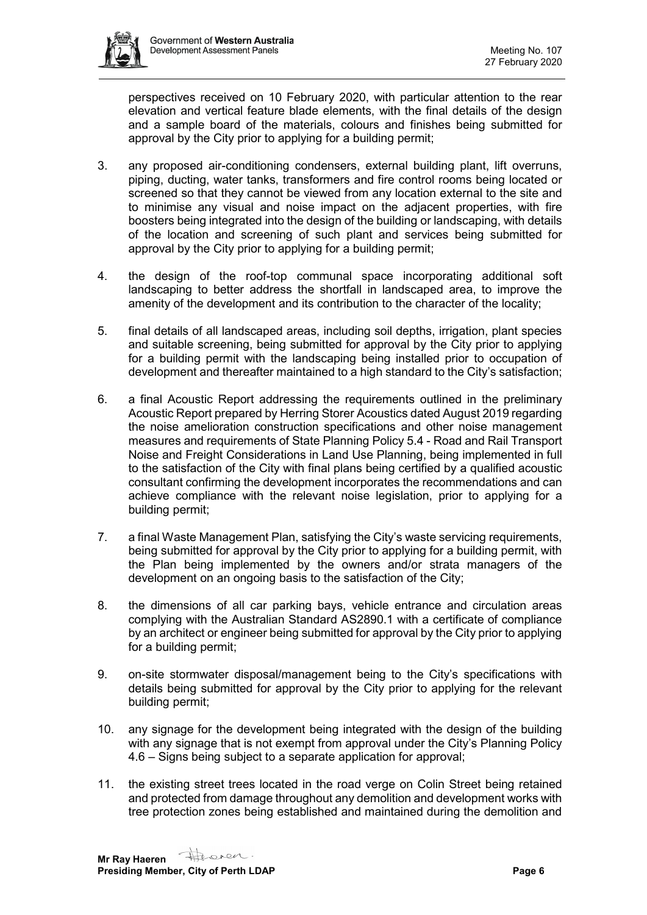

perspectives received on 10 February 2020, with particular attention to the rear elevation and vertical feature blade elements, with the final details of the design and a sample board of the materials, colours and finishes being submitted for approval by the City prior to applying for a building permit;

- 3. any proposed air-conditioning condensers, external building plant, lift overruns, piping, ducting, water tanks, transformers and fire control rooms being located or screened so that they cannot be viewed from any location external to the site and to minimise any visual and noise impact on the adjacent properties, with fire boosters being integrated into the design of the building or landscaping, with details of the location and screening of such plant and services being submitted for approval by the City prior to applying for a building permit;
- 4. the design of the roof-top communal space incorporating additional soft landscaping to better address the shortfall in landscaped area, to improve the amenity of the development and its contribution to the character of the locality;
- 5. final details of all landscaped areas, including soil depths, irrigation, plant species and suitable screening, being submitted for approval by the City prior to applying for a building permit with the landscaping being installed prior to occupation of development and thereafter maintained to a high standard to the City's satisfaction;
- 6. a final Acoustic Report addressing the requirements outlined in the preliminary Acoustic Report prepared by Herring Storer Acoustics dated August 2019 regarding the noise amelioration construction specifications and other noise management measures and requirements of State Planning Policy 5.4 - Road and Rail Transport Noise and Freight Considerations in Land Use Planning, being implemented in full to the satisfaction of the City with final plans being certified by a qualified acoustic consultant confirming the development incorporates the recommendations and can achieve compliance with the relevant noise legislation, prior to applying for a building permit;
- 7. a final Waste Management Plan, satisfying the City's waste servicing requirements, being submitted for approval by the City prior to applying for a building permit, with the Plan being implemented by the owners and/or strata managers of the development on an ongoing basis to the satisfaction of the City;
- 8. the dimensions of all car parking bays, vehicle entrance and circulation areas complying with the Australian Standard AS2890.1 with a certificate of compliance by an architect or engineer being submitted for approval by the City prior to applying for a building permit;
- 9. on-site stormwater disposal/management being to the City's specifications with details being submitted for approval by the City prior to applying for the relevant building permit;
- 10. any signage for the development being integrated with the design of the building with any signage that is not exempt from approval under the City's Planning Policy 4.6 – Signs being subject to a separate application for approval;
- 11. the existing street trees located in the road verge on Colin Street being retained and protected from damage throughout any demolition and development works with tree protection zones being established and maintained during the demolition and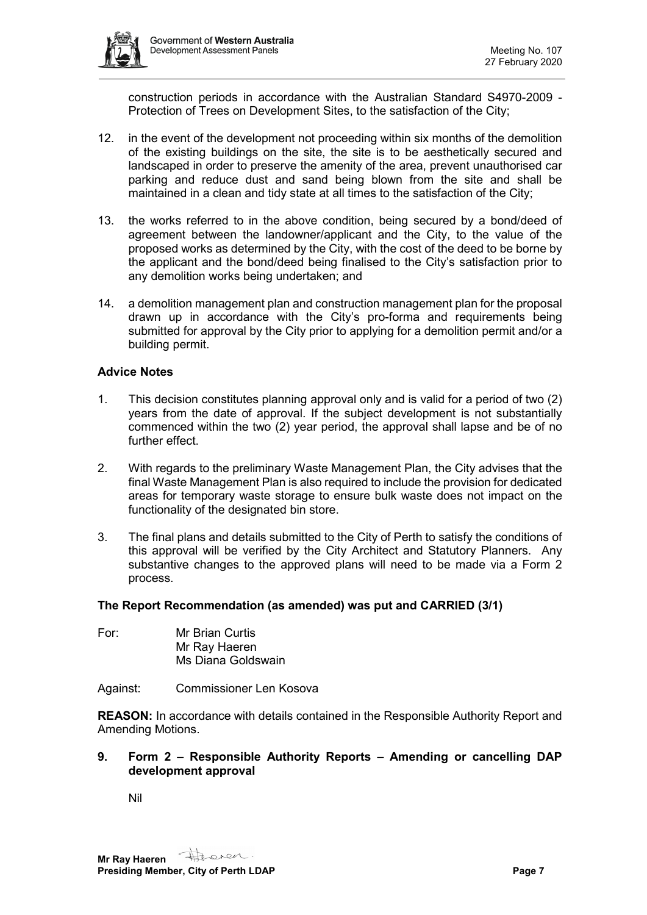

construction periods in accordance with the Australian Standard S4970-2009 - Protection of Trees on Development Sites, to the satisfaction of the City;

- 12. in the event of the development not proceeding within six months of the demolition of the existing buildings on the site, the site is to be aesthetically secured and landscaped in order to preserve the amenity of the area, prevent unauthorised car parking and reduce dust and sand being blown from the site and shall be maintained in a clean and tidy state at all times to the satisfaction of the City;
- 13. the works referred to in the above condition, being secured by a bond/deed of agreement between the landowner/applicant and the City, to the value of the proposed works as determined by the City, with the cost of the deed to be borne by the applicant and the bond/deed being finalised to the City's satisfaction prior to any demolition works being undertaken; and
- 14. a demolition management plan and construction management plan for the proposal drawn up in accordance with the City's pro-forma and requirements being submitted for approval by the City prior to applying for a demolition permit and/or a building permit.

#### **Advice Notes**

- 1. This decision constitutes planning approval only and is valid for a period of two (2) years from the date of approval. If the subject development is not substantially commenced within the two (2) year period, the approval shall lapse and be of no further effect.
- 2. With regards to the preliminary Waste Management Plan, the City advises that the final Waste Management Plan is also required to include the provision for dedicated areas for temporary waste storage to ensure bulk waste does not impact on the functionality of the designated bin store.
- 3. The final plans and details submitted to the City of Perth to satisfy the conditions of this approval will be verified by the City Architect and Statutory Planners. Any substantive changes to the approved plans will need to be made via a Form 2 process.

#### **The Report Recommendation (as amended) was put and CARRIED (3/1)**

- For: Mr Brian Curtis Mr Ray Haeren Ms Diana Goldswain
- Against: Commissioner Len Kosova

**REASON:** In accordance with details contained in the Responsible Authority Report and Amending Motions.

#### **9. Form 2 – Responsible Authority Reports – Amending or cancelling DAP development approval**

Nil